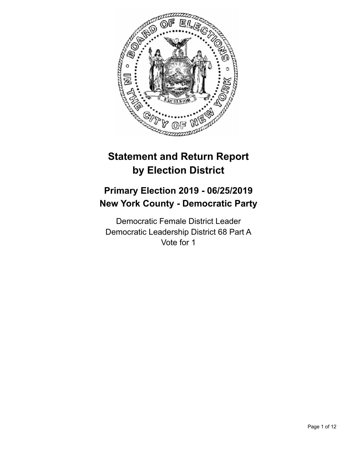

# **Statement and Return Report by Election District**

## **Primary Election 2019 - 06/25/2019 New York County - Democratic Party**

Democratic Female District Leader Democratic Leadership District 68 Part A Vote for 1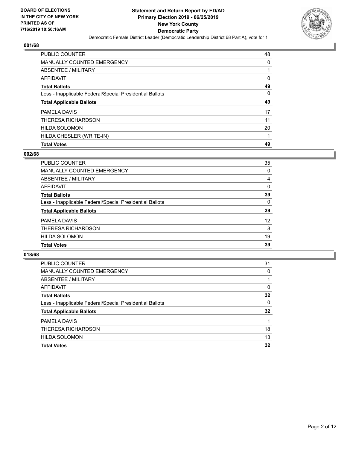

| PUBLIC COUNTER                                           | 48       |
|----------------------------------------------------------|----------|
| <b>MANUALLY COUNTED EMERGENCY</b>                        | 0        |
| ABSENTEE / MILITARY                                      |          |
| AFFIDAVIT                                                | 0        |
| <b>Total Ballots</b>                                     | 49       |
| Less - Inapplicable Federal/Special Presidential Ballots | $\Omega$ |
| <b>Total Applicable Ballots</b>                          | 49       |
| PAMELA DAVIS                                             | 17       |
| THERESA RICHARDSON                                       | 11       |
|                                                          |          |
| <b>HILDA SOLOMON</b>                                     | 20       |
| HILDA CHESLER (WRITE-IN)                                 |          |

## **002/68**

| <b>PUBLIC COUNTER</b>                                    | 35       |
|----------------------------------------------------------|----------|
| MANUALLY COUNTED EMERGENCY                               | 0        |
| ABSENTEE / MILITARY                                      | 4        |
| AFFIDAVIT                                                | 0        |
| <b>Total Ballots</b>                                     | 39       |
| Less - Inapplicable Federal/Special Presidential Ballots | $\Omega$ |
| <b>Total Applicable Ballots</b>                          | 39       |
| PAMELA DAVIS                                             | 12       |
| THERESA RICHARDSON                                       | 8        |
| <b>HILDA SOLOMON</b>                                     | 19       |
| <b>Total Votes</b>                                       | 39       |
|                                                          |          |

| <b>PUBLIC COUNTER</b>                                    | 31       |
|----------------------------------------------------------|----------|
| MANUALLY COUNTED EMERGENCY                               | 0        |
| ABSENTEE / MILITARY                                      |          |
| AFFIDAVIT                                                | $\Omega$ |
| <b>Total Ballots</b>                                     | 32       |
| Less - Inapplicable Federal/Special Presidential Ballots | $\Omega$ |
| <b>Total Applicable Ballots</b>                          | 32       |
| PAMELA DAVIS                                             |          |
| THERESA RICHARDSON                                       | 18       |
| <b>HILDA SOLOMON</b>                                     | 13       |
| <b>Total Votes</b>                                       | 32       |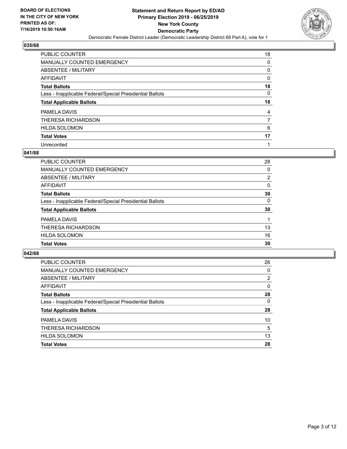

| <b>PUBLIC COUNTER</b>                                    | 18 |
|----------------------------------------------------------|----|
| MANUALLY COUNTED EMERGENCY                               | 0  |
| ABSENTEE / MILITARY                                      | 0  |
| AFFIDAVIT                                                | 0  |
| <b>Total Ballots</b>                                     | 18 |
| Less - Inapplicable Federal/Special Presidential Ballots | 0  |
| <b>Total Applicable Ballots</b>                          | 18 |
| PAMELA DAVIS                                             | 4  |
| THERESA RICHARDSON                                       | 7  |
| <b>HILDA SOLOMON</b>                                     | 6  |
| <b>Total Votes</b>                                       | 17 |
|                                                          |    |

#### **041/68**

| <b>PUBLIC COUNTER</b>                                    | 28             |
|----------------------------------------------------------|----------------|
| <b>MANUALLY COUNTED EMERGENCY</b>                        | $\Omega$       |
| ABSENTEE / MILITARY                                      | $\overline{2}$ |
| AFFIDAVIT                                                | $\Omega$       |
| <b>Total Ballots</b>                                     | 30             |
| Less - Inapplicable Federal/Special Presidential Ballots | 0              |
| <b>Total Applicable Ballots</b>                          | 30             |
| PAMELA DAVIS                                             |                |
| THERESA RICHARDSON                                       | 13             |
| <b>HILDA SOLOMON</b>                                     | 16             |
| <b>Total Votes</b>                                       | 30             |
|                                                          |                |

| <b>PUBLIC COUNTER</b>                                    | 26       |
|----------------------------------------------------------|----------|
| <b>MANUALLY COUNTED EMERGENCY</b>                        | $\Omega$ |
| ABSENTEE / MILITARY                                      | 2        |
| AFFIDAVIT                                                | 0        |
| <b>Total Ballots</b>                                     | 28       |
| Less - Inapplicable Federal/Special Presidential Ballots | 0        |
| <b>Total Applicable Ballots</b>                          | 28       |
| PAMELA DAVIS                                             | 10       |
| THERESA RICHARDSON                                       | 5        |
| <b>HILDA SOLOMON</b>                                     | 13       |
| <b>Total Votes</b>                                       | 28       |
|                                                          |          |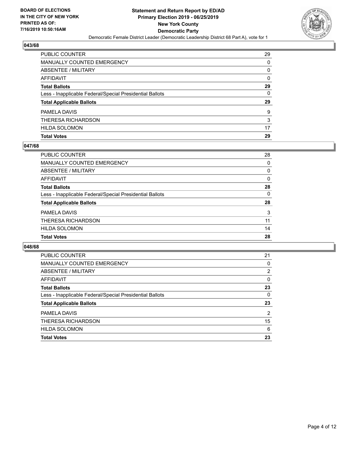

| PUBLIC COUNTER                                           | 29       |
|----------------------------------------------------------|----------|
| <b>MANUALLY COUNTED EMERGENCY</b>                        | 0        |
| ABSENTEE / MILITARY                                      | 0        |
| <b>AFFIDAVIT</b>                                         | $\Omega$ |
| <b>Total Ballots</b>                                     | 29       |
| Less - Inapplicable Federal/Special Presidential Ballots | 0        |
| <b>Total Applicable Ballots</b>                          | 29       |
| PAMELA DAVIS                                             | 9        |
| THERESA RICHARDSON                                       | 3        |
| <b>HILDA SOLOMON</b>                                     | 17       |
| <b>Total Votes</b>                                       | 29       |

#### **047/68**

| PUBLIC COUNTER                                           | 28       |
|----------------------------------------------------------|----------|
| <b>MANUALLY COUNTED EMERGENCY</b>                        | 0        |
| ABSENTEE / MILITARY                                      | $\Omega$ |
| AFFIDAVIT                                                | 0        |
| <b>Total Ballots</b>                                     | 28       |
| Less - Inapplicable Federal/Special Presidential Ballots | $\Omega$ |
| <b>Total Applicable Ballots</b>                          | 28       |
| PAMELA DAVIS                                             | 3        |
| THERESA RICHARDSON                                       | 11       |
| <b>HILDA SOLOMON</b>                                     | 14       |
| <b>Total Votes</b>                                       | 28       |
|                                                          |          |

| PUBLIC COUNTER                                           | 21             |
|----------------------------------------------------------|----------------|
| MANUALLY COUNTED EMERGENCY                               | $\Omega$       |
| ABSENTEE / MILITARY                                      | 2              |
| AFFIDAVIT                                                | $\Omega$       |
| <b>Total Ballots</b>                                     | 23             |
| Less - Inapplicable Federal/Special Presidential Ballots | $\Omega$       |
| <b>Total Applicable Ballots</b>                          | 23             |
| PAMELA DAVIS                                             | $\overline{2}$ |
| THERESA RICHARDSON                                       | 15             |
| <b>HILDA SOLOMON</b>                                     | 6              |
| <b>Total Votes</b>                                       | 23             |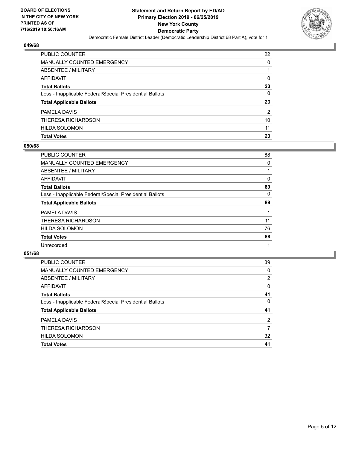

| PUBLIC COUNTER                                           | 22            |
|----------------------------------------------------------|---------------|
| <b>MANUALLY COUNTED EMERGENCY</b>                        | 0             |
| ABSENTEE / MILITARY                                      | 1             |
| <b>AFFIDAVIT</b>                                         | 0             |
| <b>Total Ballots</b>                                     | 23            |
| Less - Inapplicable Federal/Special Presidential Ballots | $\Omega$      |
| <b>Total Applicable Ballots</b>                          | 23            |
| PAMELA DAVIS                                             | $\mathcal{P}$ |
| THERESA RICHARDSON                                       | 10            |
| <b>HILDA SOLOMON</b>                                     | 11            |
| <b>Total Votes</b>                                       | 23            |

## **050/68**

| PUBLIC COUNTER                                           | 88 |
|----------------------------------------------------------|----|
| <b>MANUALLY COUNTED EMERGENCY</b>                        | 0  |
| ABSENTEE / MILITARY                                      |    |
| AFFIDAVIT                                                | 0  |
| <b>Total Ballots</b>                                     | 89 |
| Less - Inapplicable Federal/Special Presidential Ballots | 0  |
| <b>Total Applicable Ballots</b>                          | 89 |
| PAMELA DAVIS                                             |    |
| THERESA RICHARDSON                                       | 11 |
| <b>HILDA SOLOMON</b>                                     | 76 |
| <b>Total Votes</b>                                       | 88 |
| Unrecorded                                               |    |
|                                                          |    |

| <b>PUBLIC COUNTER</b>                                    | 39             |
|----------------------------------------------------------|----------------|
| <b>MANUALLY COUNTED EMERGENCY</b>                        | $\Omega$       |
| ABSENTEE / MILITARY                                      | 2              |
| AFFIDAVIT                                                | $\Omega$       |
| <b>Total Ballots</b>                                     | 41             |
| Less - Inapplicable Federal/Special Presidential Ballots | 0              |
| <b>Total Applicable Ballots</b>                          | 41             |
| PAMELA DAVIS                                             | $\overline{2}$ |
| THERESA RICHARDSON                                       | 7              |
| <b>HILDA SOLOMON</b>                                     | 32             |
| <b>Total Votes</b>                                       | 41             |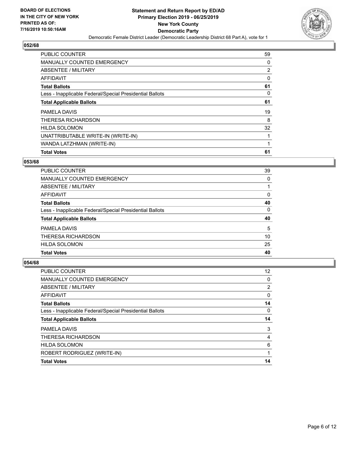

| <b>PUBLIC COUNTER</b>                                    | 59 |
|----------------------------------------------------------|----|
| <b>MANUALLY COUNTED EMERGENCY</b>                        | 0  |
| ABSENTEE / MILITARY                                      | 2  |
| <b>AFFIDAVIT</b>                                         | 0  |
| <b>Total Ballots</b>                                     | 61 |
| Less - Inapplicable Federal/Special Presidential Ballots | 0  |
| <b>Total Applicable Ballots</b>                          | 61 |
| PAMELA DAVIS                                             | 19 |
| THERESA RICHARDSON                                       | 8  |
| <b>HILDA SOLOMON</b>                                     | 32 |
| UNATTRIBUTABLE WRITE-IN (WRITE-IN)                       |    |
| WANDA LATZHMAN (WRITE-IN)                                |    |
| <b>Total Votes</b>                                       | 61 |

#### **053/68**

| PUBLIC COUNTER                                           | 39 |
|----------------------------------------------------------|----|
| <b>MANUALLY COUNTED EMERGENCY</b>                        | 0  |
| ABSENTEE / MILITARY                                      |    |
| <b>AFFIDAVIT</b>                                         | 0  |
| <b>Total Ballots</b>                                     | 40 |
| Less - Inapplicable Federal/Special Presidential Ballots | 0  |
| <b>Total Applicable Ballots</b>                          | 40 |
| PAMELA DAVIS                                             | 5  |
| THERESA RICHARDSON                                       | 10 |
| <b>HILDA SOLOMON</b>                                     | 25 |
| <b>Total Votes</b>                                       | 40 |

| <b>PUBLIC COUNTER</b>                                    | $12 \overline{ }$ |
|----------------------------------------------------------|-------------------|
| MANUALLY COUNTED EMERGENCY                               | 0                 |
| ABSENTEE / MILITARY                                      | $\overline{2}$    |
| AFFIDAVIT                                                | 0                 |
| <b>Total Ballots</b>                                     | 14                |
| Less - Inapplicable Federal/Special Presidential Ballots | 0                 |
| <b>Total Applicable Ballots</b>                          | 14                |
| PAMELA DAVIS                                             | 3                 |
| THERESA RICHARDSON                                       | 4                 |
| <b>HILDA SOLOMON</b>                                     | 6                 |
| ROBERT RODRIGUEZ (WRITE-IN)                              | 1                 |
|                                                          |                   |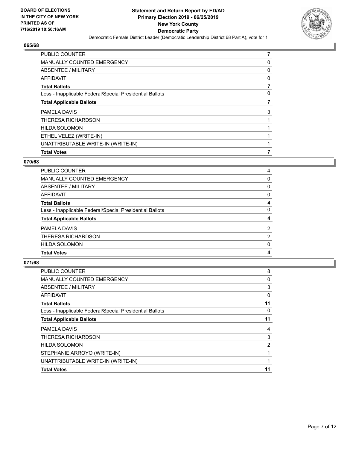

| <b>Total Votes</b>                                       |   |
|----------------------------------------------------------|---|
| UNATTRIBUTABLE WRITE-IN (WRITE-IN)                       |   |
| ETHEL VELEZ (WRITE-IN)                                   |   |
| <b>HILDA SOLOMON</b>                                     |   |
| THERESA RICHARDSON                                       |   |
| PAMELA DAVIS                                             | 3 |
| <b>Total Applicable Ballots</b>                          | 7 |
| Less - Inapplicable Federal/Special Presidential Ballots | 0 |
| <b>Total Ballots</b>                                     |   |
| AFFIDAVIT                                                | 0 |
| ABSENTEE / MILITARY                                      | 0 |
| <b>MANUALLY COUNTED EMERGENCY</b>                        | 0 |
| <b>PUBLIC COUNTER</b>                                    | 7 |

## **070/68**

| <b>PUBLIC COUNTER</b>                                    | 4              |
|----------------------------------------------------------|----------------|
| <b>MANUALLY COUNTED EMERGENCY</b>                        | 0              |
| ABSENTEE / MILITARY                                      | 0              |
| AFFIDAVIT                                                | 0              |
| <b>Total Ballots</b>                                     | 4              |
| Less - Inapplicable Federal/Special Presidential Ballots | 0              |
| <b>Total Applicable Ballots</b>                          | 4              |
| PAMELA DAVIS                                             | $\overline{2}$ |
| THERESA RICHARDSON                                       | 2              |
| <b>HILDA SOLOMON</b>                                     | 0              |
| <b>Total Votes</b>                                       | 4              |

| <b>PUBLIC COUNTER</b>                                    | 8  |
|----------------------------------------------------------|----|
| MANUALLY COUNTED EMERGENCY                               | 0  |
| ABSENTEE / MILITARY                                      | 3  |
| AFFIDAVIT                                                | 0  |
| <b>Total Ballots</b>                                     | 11 |
| Less - Inapplicable Federal/Special Presidential Ballots | 0  |
| <b>Total Applicable Ballots</b>                          | 11 |
| PAMELA DAVIS                                             | 4  |
| THERESA RICHARDSON                                       | 3  |
| <b>HILDA SOLOMON</b>                                     | 2  |
| STEPHANIE ARROYO (WRITE-IN)                              | 1  |
| UNATTRIBUTABLE WRITE-IN (WRITE-IN)                       | 1  |
| <b>Total Votes</b>                                       | 11 |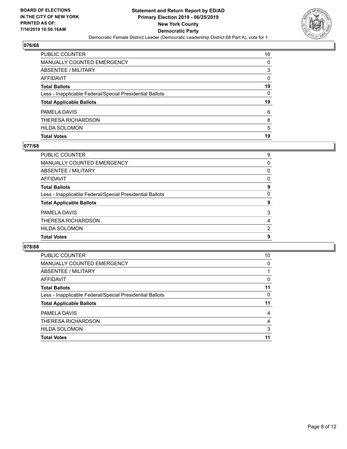

| <b>Total Votes</b>                                       | 19       |
|----------------------------------------------------------|----------|
| <b>HILDA SOLOMON</b>                                     | 5        |
| THERESA RICHARDSON                                       | 8        |
| PAMELA DAVIS                                             | 6        |
| <b>Total Applicable Ballots</b>                          | 19       |
| Less - Inapplicable Federal/Special Presidential Ballots | 0        |
| <b>Total Ballots</b>                                     | 19       |
| <b>AFFIDAVIT</b>                                         | $\Omega$ |
| ABSENTEE / MILITARY                                      | 3        |
| <b>MANUALLY COUNTED EMERGENCY</b>                        | 0        |
| PUBLIC COUNTER                                           | 16       |

## **077/68**

| PUBLIC COUNTER                                           | 9        |
|----------------------------------------------------------|----------|
| <b>MANUALLY COUNTED EMERGENCY</b>                        | $\Omega$ |
| <b>ABSENTEE / MILITARY</b>                               | $\Omega$ |
| <b>AFFIDAVIT</b>                                         | 0        |
| <b>Total Ballots</b>                                     | 9        |
| Less - Inapplicable Federal/Special Presidential Ballots | $\Omega$ |
| <b>Total Applicable Ballots</b>                          | 9        |
| PAMELA DAVIS                                             | 3        |
| THERESA RICHARDSON                                       | 4        |
| <b>HILDA SOLOMON</b>                                     | 2        |
| <b>Total Votes</b>                                       | 9        |
|                                                          |          |

| PUBLIC COUNTER                                           | 10 |
|----------------------------------------------------------|----|
| <b>MANUALLY COUNTED EMERGENCY</b>                        | 0  |
| ABSENTEE / MILITARY                                      |    |
| AFFIDAVIT                                                | 0  |
| <b>Total Ballots</b>                                     | 11 |
| Less - Inapplicable Federal/Special Presidential Ballots | 0  |
| <b>Total Applicable Ballots</b>                          | 11 |
| PAMELA DAVIS                                             | 4  |
| THERESA RICHARDSON                                       | 4  |
| <b>HILDA SOLOMON</b>                                     | 3  |
| <b>Total Votes</b>                                       | 11 |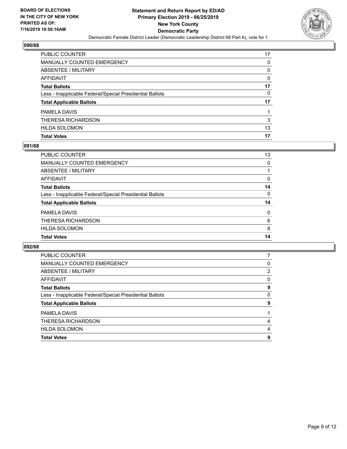

| PUBLIC COUNTER                                           | 17       |
|----------------------------------------------------------|----------|
| MANUALLY COUNTED EMERGENCY                               | 0        |
| ABSENTEE / MILITARY                                      | 0        |
| AFFIDAVIT                                                | $\Omega$ |
| <b>Total Ballots</b>                                     | 17       |
| Less - Inapplicable Federal/Special Presidential Ballots | 0        |
| <b>Total Applicable Ballots</b>                          | 17       |
| PAMELA DAVIS                                             |          |
| THERESA RICHARDSON                                       | 3        |
| <b>HILDA SOLOMON</b>                                     | 13       |
| <b>Total Votes</b>                                       | 17       |

## **091/68**

| <b>PUBLIC COUNTER</b>                                    | 13       |
|----------------------------------------------------------|----------|
| <b>MANUALLY COUNTED EMERGENCY</b>                        | 0        |
| ABSENTEE / MILITARY                                      |          |
| AFFIDAVIT                                                | 0        |
| <b>Total Ballots</b>                                     | 14       |
| Less - Inapplicable Federal/Special Presidential Ballots | $\Omega$ |
| <b>Total Applicable Ballots</b>                          | 14       |
| PAMELA DAVIS                                             | $\Omega$ |
| THERESA RICHARDSON                                       | 6        |
| <b>HILDA SOLOMON</b>                                     | 8        |
| <b>Total Votes</b>                                       | 14       |

| <b>PUBLIC COUNTER</b>                                    |          |
|----------------------------------------------------------|----------|
| <b>MANUALLY COUNTED EMERGENCY</b>                        | 0        |
| ABSENTEE / MILITARY                                      | 2        |
| AFFIDAVIT                                                | $\Omega$ |
| <b>Total Ballots</b>                                     | 9        |
| Less - Inapplicable Federal/Special Presidential Ballots | 0        |
| <b>Total Applicable Ballots</b>                          | 9        |
| PAMELA DAVIS                                             |          |
| THERESA RICHARDSON                                       | 4        |
| <b>HILDA SOLOMON</b>                                     | 4        |
| <b>Total Votes</b>                                       | 9        |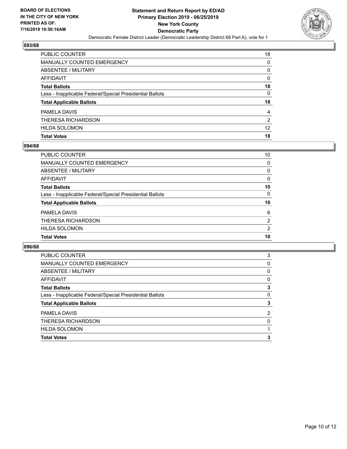

| PUBLIC COUNTER                                           | 18              |
|----------------------------------------------------------|-----------------|
| <b>MANUALLY COUNTED EMERGENCY</b>                        | $\Omega$        |
| <b>ABSENTEE / MILITARY</b>                               | 0               |
| <b>AFFIDAVIT</b>                                         | $\Omega$        |
| <b>Total Ballots</b>                                     | 18              |
| Less - Inapplicable Federal/Special Presidential Ballots | $\mathbf{0}$    |
| <b>Total Applicable Ballots</b>                          | 18              |
| PAMELA DAVIS                                             | 4               |
| THERESA RICHARDSON                                       | 2               |
| <b>HILDA SOLOMON</b>                                     | 12 <sup>2</sup> |
| <b>Total Votes</b>                                       | 18              |

## **094/68**

| PUBLIC COUNTER                                           | 10             |
|----------------------------------------------------------|----------------|
| <b>MANUALLY COUNTED EMERGENCY</b>                        | 0              |
| ABSENTEE / MILITARY                                      | $\Omega$       |
| AFFIDAVIT                                                | 0              |
| <b>Total Ballots</b>                                     | 10             |
| Less - Inapplicable Federal/Special Presidential Ballots | $\Omega$       |
| <b>Total Applicable Ballots</b>                          | 10             |
| PAMELA DAVIS                                             | 6              |
| THERESA RICHARDSON                                       | $\overline{2}$ |
| <b>HILDA SOLOMON</b>                                     | 2              |
| <b>Total Votes</b>                                       | 10             |
|                                                          |                |

| PUBLIC COUNTER                                           | 3              |
|----------------------------------------------------------|----------------|
| MANUALLY COUNTED EMERGENCY                               | 0              |
| ABSENTEE / MILITARY                                      | 0              |
| AFFIDAVIT                                                | 0              |
| <b>Total Ballots</b>                                     | 3              |
| Less - Inapplicable Federal/Special Presidential Ballots | 0              |
| <b>Total Applicable Ballots</b>                          | 3              |
| PAMELA DAVIS                                             | $\overline{2}$ |
| THERESA RICHARDSON                                       | 0              |
| <b>HILDA SOLOMON</b>                                     |                |
| <b>Total Votes</b>                                       | 3              |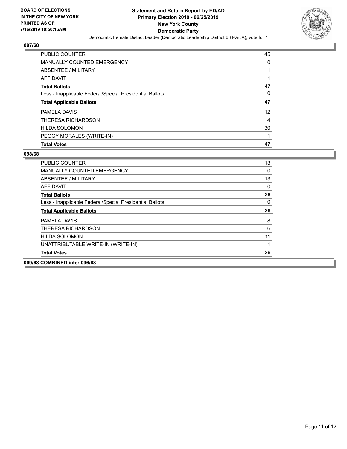

| <b>PUBLIC COUNTER</b>                                    | 45 |
|----------------------------------------------------------|----|
| <b>MANUALLY COUNTED EMERGENCY</b>                        | 0  |
| ABSENTEE / MILITARY                                      |    |
| AFFIDAVIT                                                |    |
| <b>Total Ballots</b>                                     | 47 |
| Less - Inapplicable Federal/Special Presidential Ballots | 0  |
| <b>Total Applicable Ballots</b>                          | 47 |
| PAMELA DAVIS                                             | 12 |
| THERESA RICHARDSON                                       | 4  |
| <b>HILDA SOLOMON</b>                                     | 30 |
| PEGGY MORALES (WRITE-IN)                                 | 1  |
| <b>Total Votes</b>                                       | 47 |

| 099/68 COMBINED into: 096/68                             |          |
|----------------------------------------------------------|----------|
| <b>Total Votes</b>                                       | 26       |
| UNATTRIBUTABLE WRITE-IN (WRITE-IN)                       |          |
| <b>HILDA SOLOMON</b>                                     | 11       |
| THERESA RICHARDSON                                       | 6        |
| PAMELA DAVIS                                             | 8        |
| <b>Total Applicable Ballots</b>                          | 26       |
| Less - Inapplicable Federal/Special Presidential Ballots | $\Omega$ |
| <b>Total Ballots</b>                                     | 26       |
| AFFIDAVIT                                                | 0        |
| ABSENTEE / MILITARY                                      | 13       |
| <b>MANUALLY COUNTED EMERGENCY</b>                        | 0        |
| <b>PUBLIC COUNTER</b>                                    | 13       |